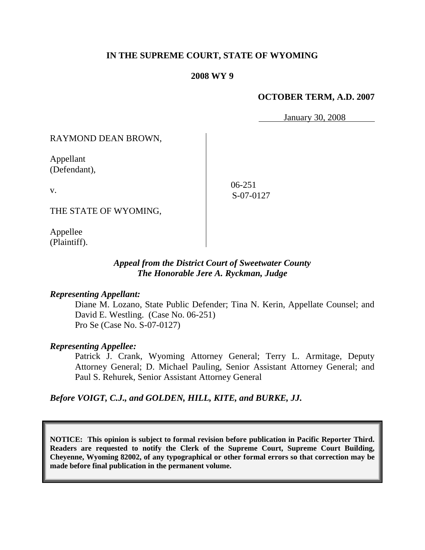# **IN THE SUPREME COURT, STATE OF WYOMING**

### **2008 WY 9**

# **OCTOBER TERM, A.D. 2007**

January 30, 2008

RAYMOND DEAN BROWN,

Appellant (Defendant),

v.

06-251 S-07-0127

THE STATE OF WYOMING,

Appellee (Plaintiff).

# *Appeal from the District Court of Sweetwater County The Honorable Jere A. Ryckman, Judge*

# *Representing Appellant:*

Diane M. Lozano, State Public Defender; Tina N. Kerin, Appellate Counsel; and David E. Westling. (Case No. 06-251) Pro Se (Case No. S-07-0127)

#### *Representing Appellee:*

Patrick J. Crank, Wyoming Attorney General; Terry L. Armitage, Deputy Attorney General; D. Michael Pauling, Senior Assistant Attorney General; and Paul S. Rehurek, Senior Assistant Attorney General

*Before VOIGT, C.J., and GOLDEN, HILL, KITE, and BURKE, JJ.*

**NOTICE: This opinion is subject to formal revision before publication in Pacific Reporter Third. Readers are requested to notify the Clerk of the Supreme Court, Supreme Court Building, Cheyenne, Wyoming 82002, of any typographical or other formal errors so that correction may be made before final publication in the permanent volume.**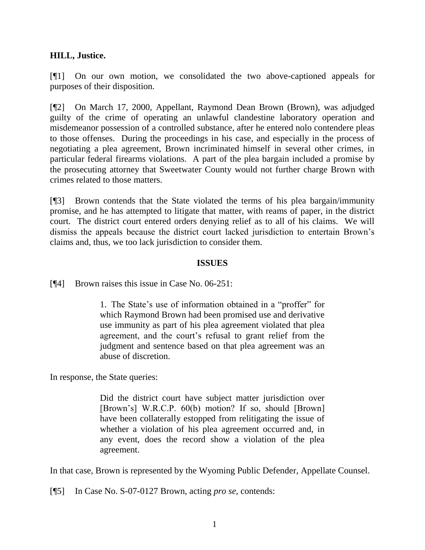# **HILL, Justice.**

[¶1] On our own motion, we consolidated the two above-captioned appeals for purposes of their disposition.

[¶2] On March 17, 2000, Appellant, Raymond Dean Brown (Brown), was adjudged guilty of the crime of operating an unlawful clandestine laboratory operation and misdemeanor possession of a controlled substance, after he entered nolo contendere pleas to those offenses. During the proceedings in his case, and especially in the process of negotiating a plea agreement, Brown incriminated himself in several other crimes, in particular federal firearms violations. A part of the plea bargain included a promise by the prosecuting attorney that Sweetwater County would not further charge Brown with crimes related to those matters.

[¶3] Brown contends that the State violated the terms of his plea bargain/immunity promise, and he has attempted to litigate that matter, with reams of paper, in the district court. The district court entered orders denying relief as to all of his claims. We will dismiss the appeals because the district court lacked jurisdiction to entertain Brown's claims and, thus, we too lack jurisdiction to consider them.

### **ISSUES**

[¶4] Brown raises this issue in Case No. 06-251:

1. The State's use of information obtained in a "proffer" for which Raymond Brown had been promised use and derivative use immunity as part of his plea agreement violated that plea agreement, and the court's refusal to grant relief from the judgment and sentence based on that plea agreement was an abuse of discretion.

In response, the State queries:

Did the district court have subject matter jurisdiction over [Brown's] W.R.C.P. 60(b) motion? If so, should [Brown] have been collaterally estopped from relitigating the issue of whether a violation of his plea agreement occurred and, in any event, does the record show a violation of the plea agreement.

In that case, Brown is represented by the Wyoming Public Defender, Appellate Counsel.

[¶5] In Case No. S-07-0127 Brown, acting *pro se*, contends: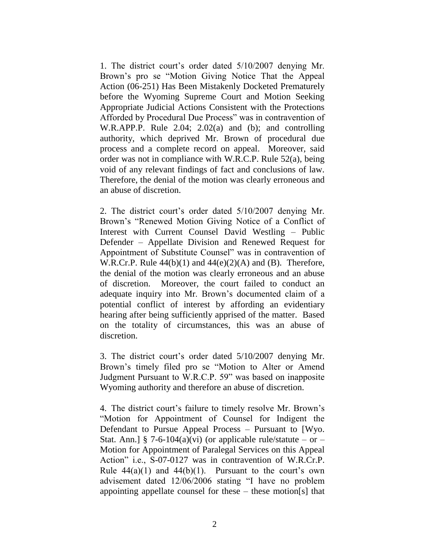1. The district court's order dated 5/10/2007 denying Mr. Brown's pro se "Motion Giving Notice That the Appeal Action (06-251) Has Been Mistakenly Docketed Prematurely before the Wyoming Supreme Court and Motion Seeking Appropriate Judicial Actions Consistent with the Protections Afforded by Procedural Due Process" was in contravention of W.R.APP.P. Rule 2.04; 2.02(a) and (b); and controlling authority, which deprived Mr. Brown of procedural due process and a complete record on appeal. Moreover, said order was not in compliance with W.R.C.P. Rule 52(a), being void of any relevant findings of fact and conclusions of law. Therefore, the denial of the motion was clearly erroneous and an abuse of discretion.

2. The district court's order dated 5/10/2007 denying Mr. Brown's "Renewed Motion Giving Notice of a Conflict of Interest with Current Counsel David Westling – Public Defender – Appellate Division and Renewed Request for Appointment of Substitute Counsel" was in contravention of W.R.Cr.P. Rule  $44(b)(1)$  and  $44(e)(2)(A)$  and (B). Therefore, the denial of the motion was clearly erroneous and an abuse of discretion. Moreover, the court failed to conduct an adequate inquiry into Mr. Brown's documented claim of a potential conflict of interest by affording an evidentiary hearing after being sufficiently apprised of the matter. Based on the totality of circumstances, this was an abuse of discretion.

3. The district court's order dated 5/10/2007 denying Mr. Brown's timely filed pro se "Motion to Alter or Amend Judgment Pursuant to W.R.C.P. 59" was based on inapposite Wyoming authority and therefore an abuse of discretion.

4. The district court's failure to timely resolve Mr. Brown's "Motion for Appointment of Counsel for Indigent the Defendant to Pursue Appeal Process – Pursuant to [Wyo. Stat. Ann.] § 7-6-104(a)(vi) (or applicable rule/statute – or – Motion for Appointment of Paralegal Services on this Appeal Action" i.e., S-07-0127 was in contravention of W.R.Cr.P. Rule  $44(a)(1)$  and  $44(b)(1)$ . Pursuant to the court's own advisement dated 12/06/2006 stating "I have no problem appointing appellate counsel for these – these motion[s] that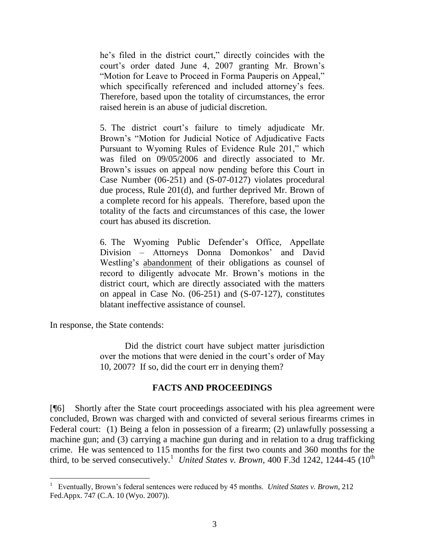he's filed in the district court," directly coincides with the court's order dated June 4, 2007 granting Mr. Brown's "Motion for Leave to Proceed in Forma Pauperis on Appeal," which specifically referenced and included attorney's fees. Therefore, based upon the totality of circumstances, the error raised herein is an abuse of judicial discretion.

5. The district court's failure to timely adjudicate Mr. Brown's "Motion for Judicial Notice of Adjudicative Facts Pursuant to Wyoming Rules of Evidence Rule 201," which was filed on 09/05/2006 and directly associated to Mr. Brown's issues on appeal now pending before this Court in Case Number (06-251) and (S-07-0127) violates procedural due process, Rule 201(d), and further deprived Mr. Brown of a complete record for his appeals. Therefore, based upon the totality of the facts and circumstances of this case, the lower court has abused its discretion.

6. The Wyoming Public Defender's Office, Appellate Division – Attorneys Donna Domonkos' and David Westling's abandonment of their obligations as counsel of record to diligently advocate Mr. Brown's motions in the district court, which are directly associated with the matters on appeal in Case No. (06-251) and (S-07-127), constitutes blatant ineffective assistance of counsel.

In response, the State contends:

l

Did the district court have subject matter jurisdiction over the motions that were denied in the court's order of May 10, 2007? If so, did the court err in denying them?

# **FACTS AND PROCEEDINGS**

[¶6] Shortly after the State court proceedings associated with his plea agreement were concluded, Brown was charged with and convicted of several serious firearms crimes in Federal court: (1) Being a felon in possession of a firearm; (2) unlawfully possessing a machine gun; and (3) carrying a machine gun during and in relation to a drug trafficking crime. He was sentenced to 115 months for the first two counts and 360 months for the third, to be served consecutively.<sup>1</sup> United States v. Brown, 400 F.3d 1242, 1244-45 (10<sup>th</sup>)

<sup>1</sup> Eventually, Brown's federal sentences were reduced by 45 months. *United States v. Brown*, 212 Fed.Appx. 747 (C.A. 10 (Wyo. 2007)).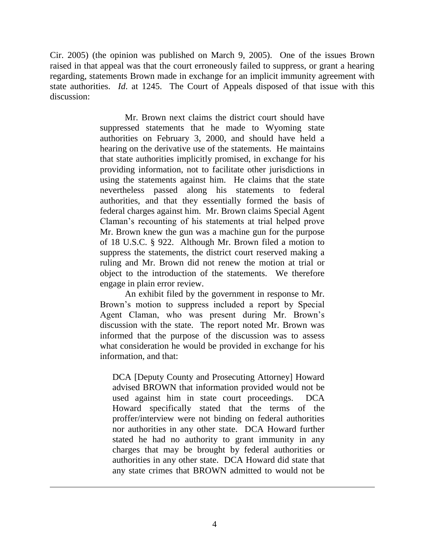Cir. 2005) (the opinion was published on March 9, 2005). One of the issues Brown raised in that appeal was that the court erroneously failed to suppress, or grant a hearing regarding, statements Brown made in exchange for an implicit immunity agreement with state authorities. *Id*. at 1245. The Court of Appeals disposed of that issue with this discussion:

> Mr. Brown next claims the district court should have suppressed statements that he made to Wyoming state authorities on February 3, 2000, and should have held a hearing on the derivative use of the statements. He maintains that state authorities implicitly promised, in exchange for his providing information, not to facilitate other jurisdictions in using the statements against him. He claims that the state nevertheless passed along his statements to federal authorities, and that they essentially formed the basis of federal charges against him. Mr. Brown claims Special Agent Claman's recounting of his statements at trial helped prove Mr. Brown knew the gun was a machine gun for the purpose of 18 U.S.C. § 922. Although Mr. Brown filed a motion to suppress the statements, the district court reserved making a ruling and Mr. Brown did not renew the motion at trial or object to the introduction of the statements. We therefore engage in plain error review.

> An exhibit filed by the government in response to Mr. Brown's motion to suppress included a report by Special Agent Claman, who was present during Mr. Brown's discussion with the state. The report noted Mr. Brown was informed that the purpose of the discussion was to assess what consideration he would be provided in exchange for his information, and that:

DCA [Deputy County and Prosecuting Attorney] Howard advised BROWN that information provided would not be used against him in state court proceedings. DCA Howard specifically stated that the terms of the proffer/interview were not binding on federal authorities nor authorities in any other state. DCA Howard further stated he had no authority to grant immunity in any charges that may be brought by federal authorities or authorities in any other state. DCA Howard did state that any state crimes that BROWN admitted to would not be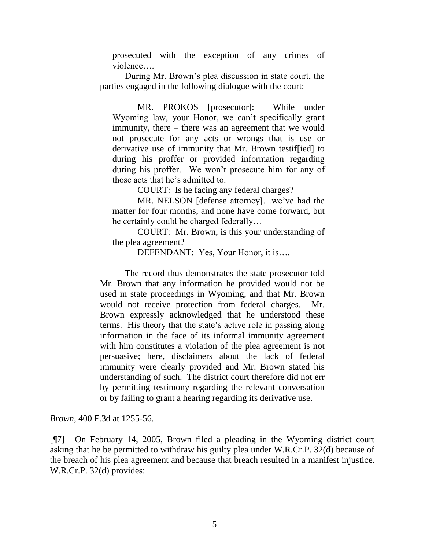prosecuted with the exception of any crimes of violence….

During Mr. Brown's plea discussion in state court, the parties engaged in the following dialogue with the court:

MR. PROKOS [prosecutor]: While under Wyoming law, your Honor, we can't specifically grant immunity, there – there was an agreement that we would not prosecute for any acts or wrongs that is use or derivative use of immunity that Mr. Brown testif[ied] to during his proffer or provided information regarding during his proffer. We won't prosecute him for any of those acts that he's admitted to.

COURT: Is he facing any federal charges?

MR. NELSON [defense attorney]…we've had the matter for four months, and none have come forward, but he certainly could be charged federally…

COURT: Mr. Brown, is this your understanding of the plea agreement?

DEFENDANT: Yes, Your Honor, it is….

The record thus demonstrates the state prosecutor told Mr. Brown that any information he provided would not be used in state proceedings in Wyoming, and that Mr. Brown would not receive protection from federal charges. Mr. Brown expressly acknowledged that he understood these terms. His theory that the state's active role in passing along information in the face of its informal immunity agreement with him constitutes a violation of the plea agreement is not persuasive; here, disclaimers about the lack of federal immunity were clearly provided and Mr. Brown stated his understanding of such. The district court therefore did not err by permitting testimony regarding the relevant conversation or by failing to grant a hearing regarding its derivative use.

*Brown*, 400 F.3d at 1255-56.

[¶7] On February 14, 2005, Brown filed a pleading in the Wyoming district court asking that he be permitted to withdraw his guilty plea under W.R.Cr.P. 32(d) because of the breach of his plea agreement and because that breach resulted in a manifest injustice. W.R.Cr.P. 32(d) provides: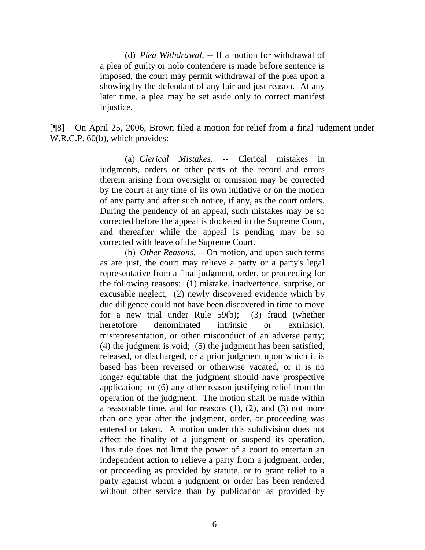(d) *Plea Withdrawal*. -- If a motion for withdrawal of a plea of guilty or nolo contendere is made before sentence is imposed, the court may permit withdrawal of the plea upon a showing by the defendant of any fair and just reason. At any later time, a plea may be set aside only to correct manifest injustice.

[¶8] On April 25, 2006, Brown filed a motion for relief from a final judgment under W.R.C.P. 60(b), which provides:

> (a) *Clerical Mistakes*. -- Clerical mistakes in judgments, orders or other parts of the record and errors therein arising from oversight or omission may be corrected by the court at any time of its own initiative or on the motion of any party and after such notice, if any, as the court orders. During the pendency of an appeal, such mistakes may be so corrected before the appeal is docketed in the Supreme Court, and thereafter while the appeal is pending may be so corrected with leave of the Supreme Court.

> (b) *Other Reasons*. -- On motion, and upon such terms as are just, the court may relieve a party or a party's legal representative from a final judgment, order, or proceeding for the following reasons: (1) mistake, inadvertence, surprise, or excusable neglect; (2) newly discovered evidence which by due diligence could not have been discovered in time to move for a new trial under Rule 59(b); (3) fraud (whether heretofore denominated intrinsic or extrinsic). misrepresentation, or other misconduct of an adverse party; (4) the judgment is void; (5) the judgment has been satisfied, released, or discharged, or a prior judgment upon which it is based has been reversed or otherwise vacated, or it is no longer equitable that the judgment should have prospective application; or (6) any other reason justifying relief from the operation of the judgment. The motion shall be made within a reasonable time, and for reasons (1), (2), and (3) not more than one year after the judgment, order, or proceeding was entered or taken. A motion under this subdivision does not affect the finality of a judgment or suspend its operation. This rule does not limit the power of a court to entertain an independent action to relieve a party from a judgment, order, or proceeding as provided by statute, or to grant relief to a party against whom a judgment or order has been rendered without other service than by publication as provided by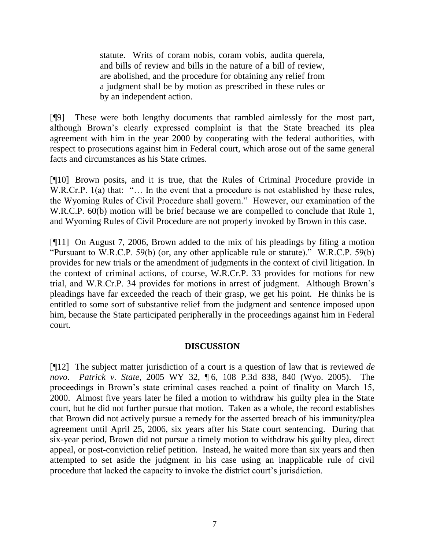statute. Writs of coram nobis, coram vobis, audita querela, and bills of review and bills in the nature of a bill of review, are abolished, and the procedure for obtaining any relief from a judgment shall be by motion as prescribed in these rules or by an independent action.

[¶9] These were both lengthy documents that rambled aimlessly for the most part, although Brown's clearly expressed complaint is that the State breached its plea agreement with him in the year 2000 by cooperating with the federal authorities, with respect to prosecutions against him in Federal court, which arose out of the same general facts and circumstances as his State crimes.

[¶10] Brown posits, and it is true, that the Rules of Criminal Procedure provide in W.R.Cr.P. 1(a) that: "... In the event that a procedure is not established by these rules, the Wyoming Rules of Civil Procedure shall govern." However, our examination of the W.R.C.P. 60(b) motion will be brief because we are compelled to conclude that Rule 1, and Wyoming Rules of Civil Procedure are not properly invoked by Brown in this case.

[¶11] On August 7, 2006, Brown added to the mix of his pleadings by filing a motion "Pursuant to W.R.C.P. 59(b) (or, any other applicable rule or statute)." W.R.C.P. 59(b) provides for new trials or the amendment of judgments in the context of civil litigation. In the context of criminal actions, of course, W.R.Cr.P. 33 provides for motions for new trial, and W.R.Cr.P. 34 provides for motions in arrest of judgment. Although Brown's pleadings have far exceeded the reach of their grasp, we get his point. He thinks he is entitled to some sort of substantive relief from the judgment and sentence imposed upon him, because the State participated peripherally in the proceedings against him in Federal court.

# **DISCUSSION**

[¶12] The subject matter jurisdiction of a court is a question of law that is reviewed *de novo*. *Patrick v. State*, 2005 WY 32, ¶ 6, 108 P.3d 838, 840 (Wyo. 2005). The proceedings in Brown's state criminal cases reached a point of finality on March 15, 2000. Almost five years later he filed a motion to withdraw his guilty plea in the State court, but he did not further pursue that motion. Taken as a whole, the record establishes that Brown did not actively pursue a remedy for the asserted breach of his immunity/plea agreement until April 25, 2006, six years after his State court sentencing. During that six-year period, Brown did not pursue a timely motion to withdraw his guilty plea, direct appeal, or post-conviction relief petition. Instead, he waited more than six years and then attempted to set aside the judgment in his case using an inapplicable rule of civil procedure that lacked the capacity to invoke the district court's jurisdiction.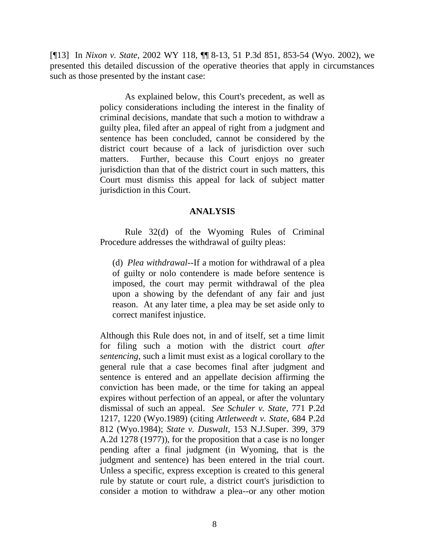[¶13] In *Nixon v. State*, 2002 WY 118, ¶¶ 8-13, 51 P.3d 851, 853-54 (Wyo. 2002), we presented this detailed discussion of the operative theories that apply in circumstances such as those presented by the instant case:

> As explained below, this Court's precedent, as well as policy considerations including the interest in the finality of criminal decisions, mandate that such a motion to withdraw a guilty plea, filed after an appeal of right from a judgment and sentence has been concluded, cannot be considered by the district court because of a lack of jurisdiction over such matters. Further, because this Court enjoys no greater jurisdiction than that of the district court in such matters, this Court must dismiss this appeal for lack of subject matter jurisdiction in this Court.

### **ANALYSIS**

Rule 32(d) of the Wyoming Rules of Criminal Procedure addresses the withdrawal of guilty pleas:

(d) *Plea withdrawal*--If a motion for withdrawal of a plea of guilty or nolo contendere is made before sentence is imposed, the court may permit withdrawal of the plea upon a showing by the defendant of any fair and just reason. At any later time, a plea may be set aside only to correct manifest injustice.

Although this Rule does not, in and of itself, set a time limit for filing such a motion with the district court *after sentencing*, such a limit must exist as a logical corollary to the general rule that a case becomes final after judgment and sentence is entered and an appellate decision affirming the conviction has been made, or the time for taking an appeal expires without perfection of an appeal, or after the voluntary dismissal of such an appeal. *See Schuler v. State*, 771 P.2d 1217, 1220 (Wyo.1989) (citing *Attletweedt v. State*, 684 P.2d 812 (Wyo.1984); *State v. Duswalt*, 153 N.J.Super. 399, 379 A.2d 1278 (1977)), for the proposition that a case is no longer pending after a final judgment (in Wyoming, that is the judgment and sentence) has been entered in the trial court. Unless a specific, express exception is created to this general rule by statute or court rule, a district court's jurisdiction to consider a motion to withdraw a plea--or any other motion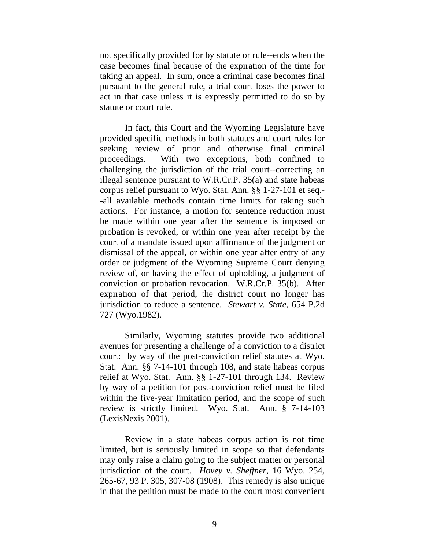not specifically provided for by statute or rule--ends when the case becomes final because of the expiration of the time for taking an appeal. In sum, once a criminal case becomes final pursuant to the general rule, a trial court loses the power to act in that case unless it is expressly permitted to do so by statute or court rule.

In fact, this Court and the Wyoming Legislature have provided specific methods in both statutes and court rules for seeking review of prior and otherwise final criminal proceedings. With two exceptions, both confined to challenging the jurisdiction of the trial court--correcting an illegal sentence pursuant to W.R.Cr.P. 35(a) and state habeas corpus relief pursuant to Wyo. Stat. Ann. §§ 1-27-101 et seq.- -all available methods contain time limits for taking such actions. For instance, a motion for sentence reduction must be made within one year after the sentence is imposed or probation is revoked, or within one year after receipt by the court of a mandate issued upon affirmance of the judgment or dismissal of the appeal, or within one year after entry of any order or judgment of the Wyoming Supreme Court denying review of, or having the effect of upholding, a judgment of conviction or probation revocation. W.R.Cr.P. 35(b). After expiration of that period, the district court no longer has jurisdiction to reduce a sentence. *Stewart v. State*, 654 P.2d 727 (Wyo.1982).

Similarly, Wyoming statutes provide two additional avenues for presenting a challenge of a conviction to a district court: by way of the post-conviction relief statutes at Wyo. Stat. Ann. §§ 7-14-101 through 108, and state habeas corpus relief at Wyo. Stat. Ann. §§ 1-27-101 through 134. Review by way of a petition for post-conviction relief must be filed within the five-year limitation period, and the scope of such review is strictly limited. Wyo. Stat. Ann. § 7-14-103 (LexisNexis 2001).

Review in a state habeas corpus action is not time limited, but is seriously limited in scope so that defendants may only raise a claim going to the subject matter or personal jurisdiction of the court. *Hovey v. Sheffner*, 16 Wyo. 254, 265-67, 93 P. 305, 307-08 (1908). This remedy is also unique in that the petition must be made to the court most convenient